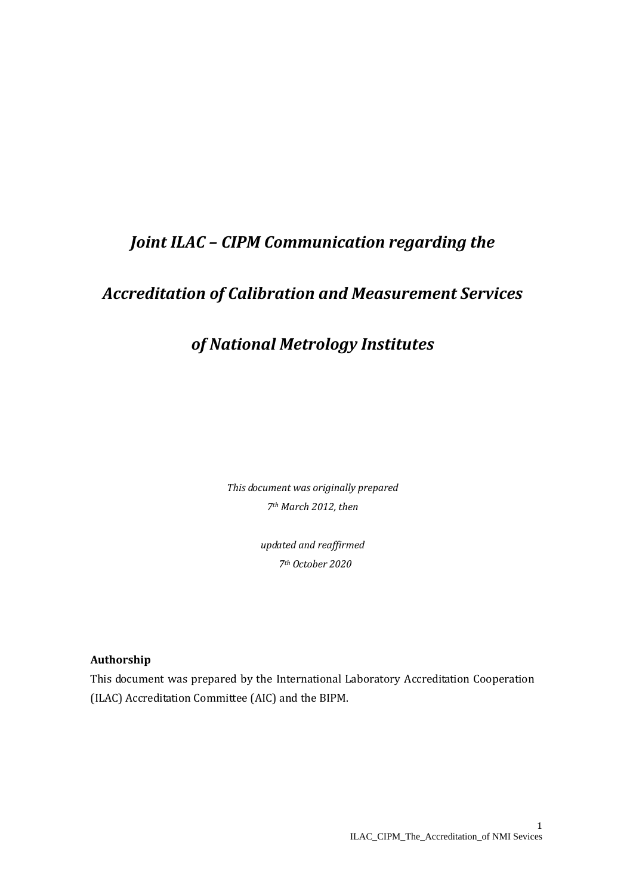# *Joint ILAC – CIPM Communication regarding the*

## *Accreditation of Calibration and Measurement Services*

## *of National Metrology Institutes*

*This document was originally prepared 7th March 2012, then*

> *updated and reaffirmed 7th October 2020*

## **Authorship**

This document was prepared by the International Laboratory Accreditation Cooperation (ILAC) Accreditation Committee (AIC) and the BIPM.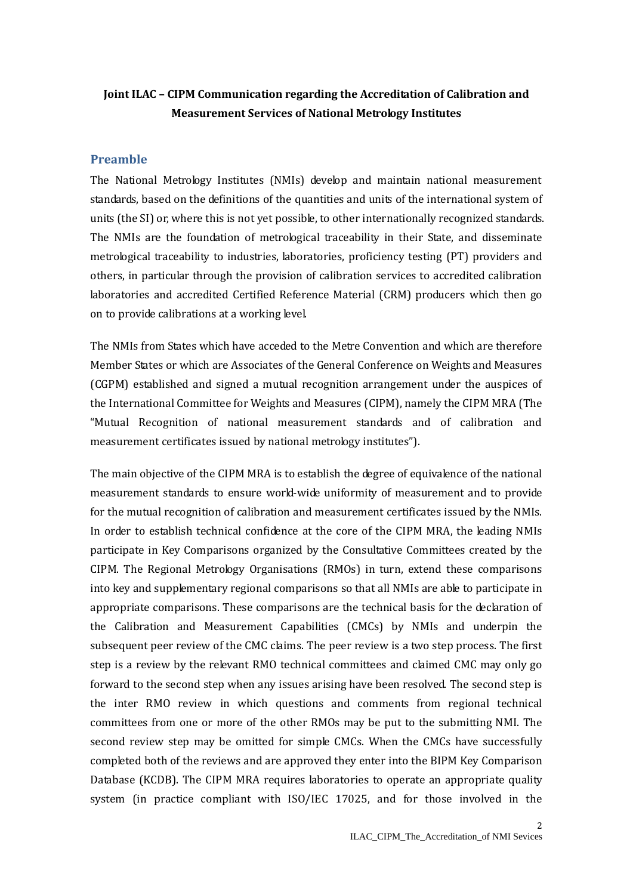## **Joint ILAC – CIPM Communication regarding the Accreditation of Calibration and Measurement Services of National Metrology Institutes**

## **Preamble**

The National Metrology Institutes (NMIs) develop and maintain national measurement standards, based on the definitions of the quantities and units of the international system of units (the SI) or, where this is not yet possible, to other internationally recognized standards. The NMIs are the foundation of metrological traceability in their State, and disseminate metrological traceability to industries, laboratories, proficiency testing (PT) providers and others, in particular through the provision of calibration services to accredited calibration laboratories and accredited Certified Reference Material (CRM) producers which then go on to provide calibrations at a working level.

The NMIs from States which have acceded to the Metre Convention and which are therefore Member States or which are Associates of the General Conference on Weights and Measures (CGPM) established and signed a mutual recognition arrangement under the auspices of the International Committee for Weights and Measures (CIPM), namely the CIPM MRA (The "Mutual Recognition of national measurement standards and of calibration and measurement certificates issued by national metrology institutes").

The main objective of the CIPM MRA is to establish the degree of equivalence of the national measurement standards to ensure world-wide uniformity of measurement and to provide for the mutual recognition of calibration and measurement certificates issued by the NMIs. In order to establish technical confidence at the core of the CIPM MRA, the leading NMIs participate in Key Comparisons organized by the Consultative Committees created by the CIPM. The Regional Metrology Organisations (RMOs) in turn, extend these comparisons into key and supplementary regional comparisons so that all NMIs are able to participate in appropriate comparisons. These comparisons are the technical basis for the declaration of the Calibration and Measurement Capabilities (CMCs) by NMIs and underpin the subsequent peer review of the CMC claims. The peer review is a two step process. The first step is a review by the relevant RMO technical committees and claimed CMC may only go forward to the second step when any issues arising have been resolved. The second step is the inter RMO review in which questions and comments from regional technical committees from one or more of the other RMOs may be put to the submitting NMI. The second review step may be omitted for simple CMCs. When the CMCs have successfully completed both of the reviews and are approved they enter into the BIPM Key Comparison Database (KCDB). The CIPM MRA requires laboratories to operate an appropriate quality system (in practice compliant with ISO/IEC 17025, and for those involved in the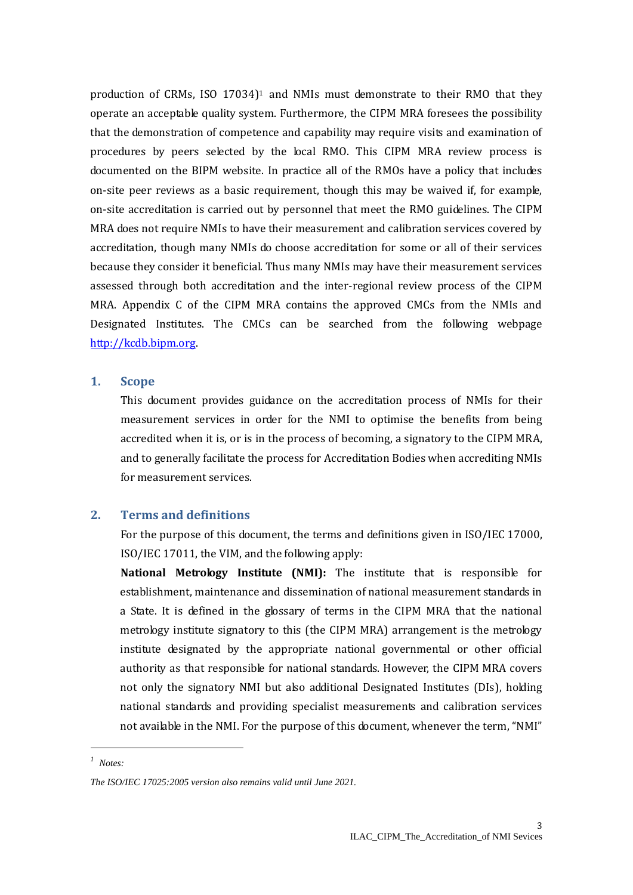production of CRMs, ISO 17034) <sup>1</sup> and NMIs must demonstrate to their RMO that they operate an acceptable quality system. Furthermore, the CIPM MRA foresees the possibility that the demonstration of competence and capability may require visits and examination of procedures by peers selected by the local RMO. This CIPM MRA review process is documented on the BIPM website. In practice all of the RMOs have a policy that includes on-site peer reviews as a basic requirement, though this may be waived if, for example, on-site accreditation is carried out by personnel that meet the RMO guidelines. The CIPM MRA does not require NMIs to have their measurement and calibration services covered by accreditation, though many NMIs do choose accreditation for some or all of their services because they consider it beneficial. Thus many NMIs may have their measurement services assessed through both accreditation and the inter-regional review process of the CIPM MRA. Appendix C of the CIPM MRA contains the approved CMCs from the NMIs and Designated Institutes. The CMCs can be searched from the following webpage [http://kcdb.bipm.org.](http://kcdb.bipm.org/)

### **1. Scope**

This document provides guidance on the accreditation process of NMIs for their measurement services in order for the NMI to optimise the benefits from being accredited when it is, or is in the process of becoming, a signatory to the CIPM MRA, and to generally facilitate the process for Accreditation Bodies when accrediting NMIs for measurement services.

## **2. Terms and definitions**

For the purpose of this document, the terms and definitions given in ISO/IEC 17000, ISO/IEC 17011, the VIM, and the following apply:

**National Metrology Institute (NMI):** The institute that is responsible for establishment, maintenance and dissemination of national measurement standards in a State. It is defined in the glossary of terms in the CIPM MRA that the national metrology institute signatory to this (the CIPM MRA) arrangement is the metrology institute designated by the appropriate national governmental or other official authority as that responsible for national standards. However, the CIPM MRA covers not only the signatory NMI but also additional Designated Institutes (DIs), holding national standards and providing specialist measurements and calibration services not available in the NMI. For the purpose of this document, whenever the term, "NMI"

1

*<sup>1</sup> Notes:*

*The ISO/IEC 17025:2005 version also remains valid until June 2021.*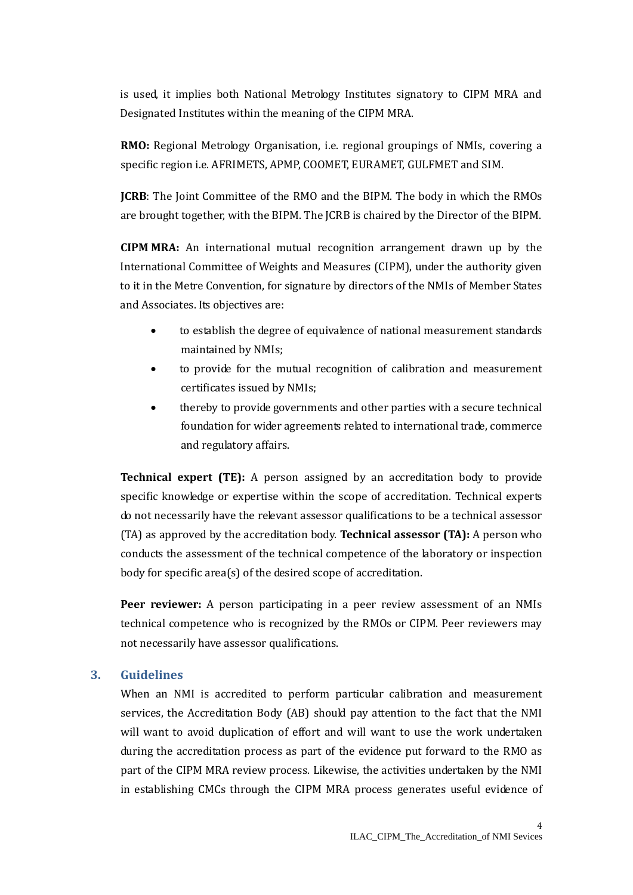is used, it implies both National Metrology Institutes signatory to CIPM MRA and Designated Institutes within the meaning of the CIPM MRA.

**RMO:** Regional Metrology Organisation, i.e. regional groupings of NMIs, covering a specific region i.e. AFRIMETS, APMP, COOMET, EURAMET, GULFMET and SIM.

**JCRB**: The Joint Committee of the RMO and the BIPM. The body in which the RMOs are brought together, with the BIPM. The JCRB is chaired by the Director of the BIPM.

**CIPM MRA:** An international mutual recognition arrangement drawn up by the International Committee of Weights and Measures (CIPM), under the authority given to it in the Metre Convention, for signature by directors of the NMIs of Member States and Associates. Its objectives are:

- to establish the degree of equivalence of national measurement standards maintained by NMIs;
- to provide for the mutual recognition of calibration and measurement certificates issued by NMIs;
- thereby to provide governments and other parties with a secure technical foundation for wider agreements related to international trade, commerce and regulatory affairs.

**Technical expert (TE):** A person assigned by an accreditation body to provide specific knowledge or expertise within the scope of accreditation. Technical experts do not necessarily have the relevant assessor qualifications to be a technical assessor (TA) as approved by the accreditation body. **Technical assessor (TA):** A person who conducts the assessment of the technical competence of the laboratory or inspection body for specific area(s) of the desired scope of accreditation.

**Peer reviewer:** A person participating in a peer review assessment of an NMIs technical competence who is recognized by the RMOs or CIPM. Peer reviewers may not necessarily have assessor qualifications.

## **3. Guidelines**

When an NMI is accredited to perform particular calibration and measurement services, the Accreditation Body (AB) should pay attention to the fact that the NMI will want to avoid duplication of effort and will want to use the work undertaken during the accreditation process as part of the evidence put forward to the RMO as part of the CIPM MRA review process. Likewise, the activities undertaken by the NMI in establishing CMCs through the CIPM MRA process generates useful evidence of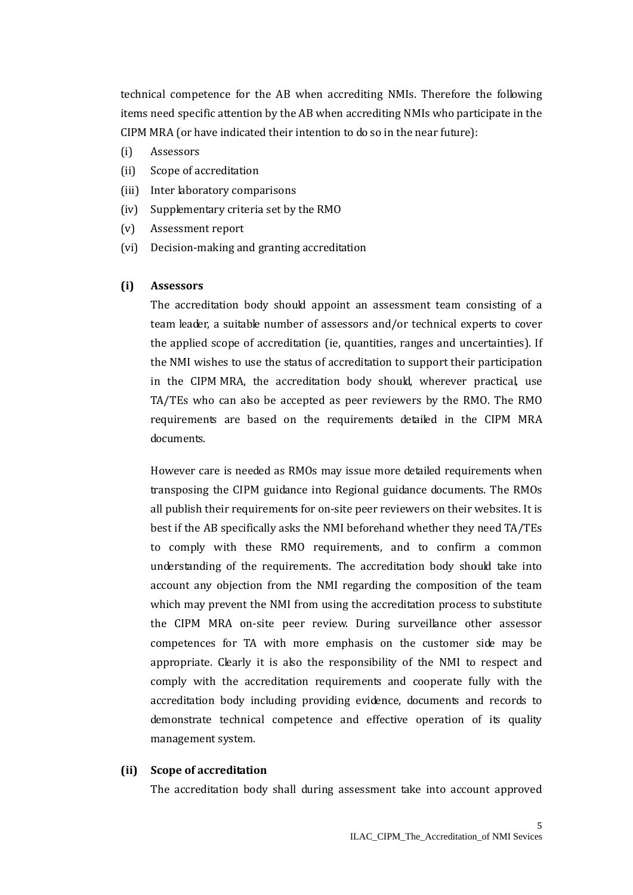technical competence for the AB when accrediting NMIs. Therefore the following items need specific attention by the AB when accrediting NMIs who participate in the CIPM MRA (or have indicated their intention to do so in the near future):

- (i) Assessors
- (ii) Scope of accreditation
- (iii) Inter laboratory comparisons
- (iv) Supplementary criteria set by the RMO
- (v) Assessment report
- (vi) Decision-making and granting accreditation

#### **(i) Assessors**

The accreditation body should appoint an assessment team consisting of a team leader, a suitable number of assessors and/or technical experts to cover the applied scope of accreditation (ie, quantities, ranges and uncertainties). If the NMI wishes to use the status of accreditation to support their participation in the CIPM MRA, the accreditation body should, wherever practical, use TA/TEs who can also be accepted as peer reviewers by the RMO. The RMO requirements are based on the requirements detailed in the CIPM MRA documents.

However care is needed as RMOs may issue more detailed requirements when transposing the CIPM guidance into Regional guidance documents. The RMOs all publish their requirements for on-site peer reviewers on their websites. It is best if the AB specifically asks the NMI beforehand whether they need TA/TEs to comply with these RMO requirements, and to confirm a common understanding of the requirements. The accreditation body should take into account any objection from the NMI regarding the composition of the team which may prevent the NMI from using the accreditation process to substitute the CIPM MRA on-site peer review. During surveillance other assessor competences for TA with more emphasis on the customer side may be appropriate. Clearly it is also the responsibility of the NMI to respect and comply with the accreditation requirements and cooperate fully with the accreditation body including providing evidence, documents and records to demonstrate technical competence and effective operation of its quality management system.

#### **(ii) Scope of accreditation**

The accreditation body shall during assessment take into account approved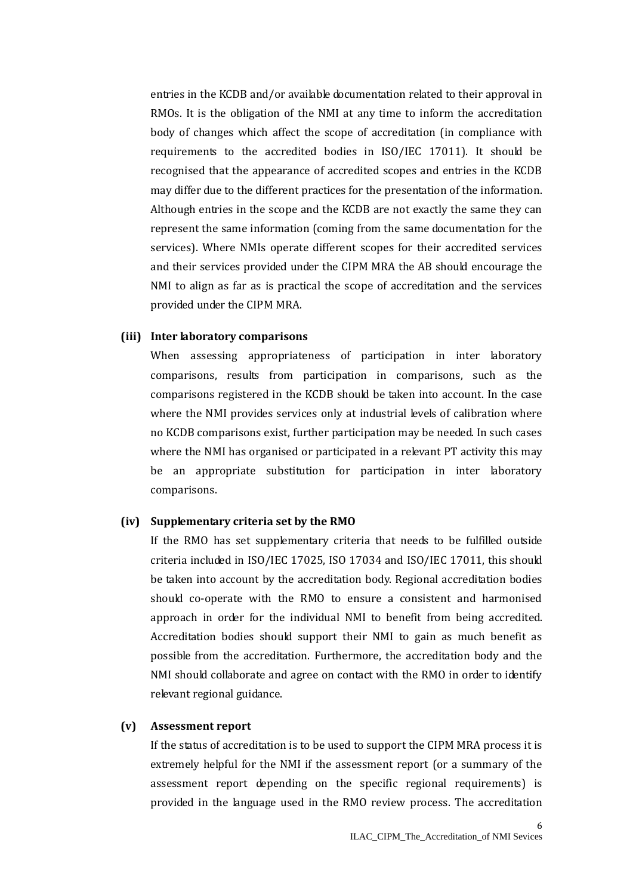entries in the KCDB and/or available documentation related to their approval in RMOs. It is the obligation of the NMI at any time to inform the accreditation body of changes which affect the scope of accreditation (in compliance with requirements to the accredited bodies in ISO/IEC 17011). It should be recognised that the appearance of accredited scopes and entries in the KCDB may differ due to the different practices for the presentation of the information. Although entries in the scope and the KCDB are not exactly the same they can represent the same information (coming from the same documentation for the services). Where NMIs operate different scopes for their accredited services and their services provided under the CIPM MRA the AB should encourage the NMI to align as far as is practical the scope of accreditation and the services provided under the CIPM MRA.

#### **(iii) Inter laboratory comparisons**

When assessing appropriateness of participation in inter laboratory comparisons, results from participation in comparisons, such as the comparisons registered in the KCDB should be taken into account. In the case where the NMI provides services only at industrial levels of calibration where no KCDB comparisons exist, further participation may be needed. In such cases where the NMI has organised or participated in a relevant PT activity this may be an appropriate substitution for participation in inter laboratory comparisons.

#### **(iv) Supplementary criteria set by the RMO**

If the RMO has set supplementary criteria that needs to be fulfilled outside criteria included in ISO/IEC 17025, ISO 17034 and ISO/IEC 17011, this should be taken into account by the accreditation body. Regional accreditation bodies should co-operate with the RMO to ensure a consistent and harmonised approach in order for the individual NMI to benefit from being accredited. Accreditation bodies should support their NMI to gain as much benefit as possible from the accreditation. Furthermore, the accreditation body and the NMI should collaborate and agree on contact with the RMO in order to identify relevant regional guidance.

### **(v) Assessment report**

If the status of accreditation is to be used to support the CIPM MRA process it is extremely helpful for the NMI if the assessment report (or a summary of the assessment report depending on the specific regional requirements) is provided in the language used in the RMO review process. The accreditation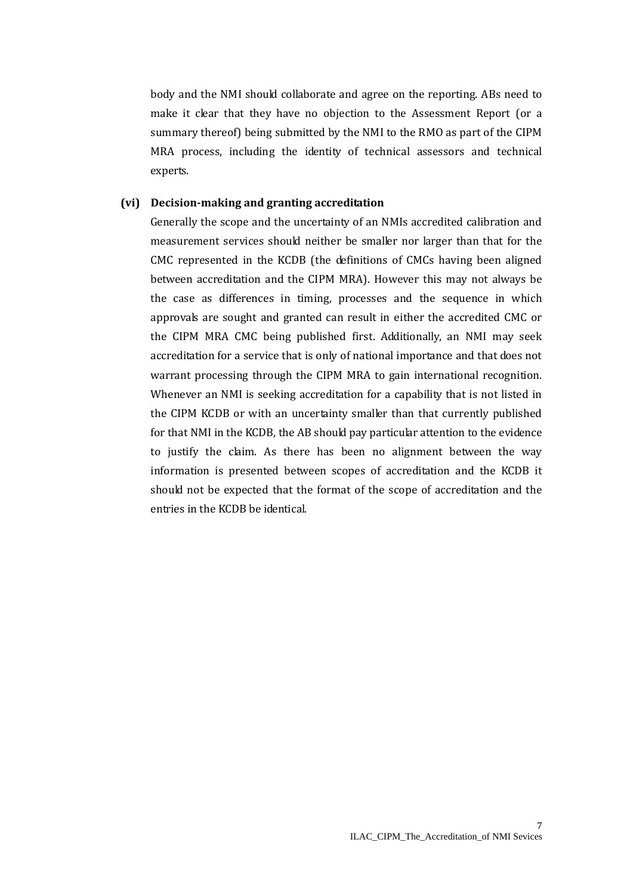body and the NMI should collaborate and agree on the reporting. ABs need to make it clear that they have no objection to the Assessment Report (or a summary thereof) being submitted by the NMI to the RMO as part of the CIPM MRA process, including the identity of technical assessors and technical experts.

### **(vi) Decision-making and granting accreditation**

Generally the scope and the uncertainty of an NMIs accredited calibration and measurement services should neither be smaller nor larger than that for the CMC represented in the KCDB (the definitions of CMCs having been aligned between accreditation and the CIPM MRA). However this may not always be the case as differences in timing, processes and the sequence in which approvals are sought and granted can result in either the accredited CMC or the CIPM MRA CMC being published first. Additionally, an NMI may seek accreditation for a service that is only of national importance and that does not warrant processing through the CIPM MRA to gain international recognition. Whenever an NMI is seeking accreditation for a capability that is not listed in the CIPM KCDB or with an uncertainty smaller than that currently published for that NMI in the KCDB, the AB should pay particular attention to the evidence to justify the claim. As there has been no alignment between the way information is presented between scopes of accreditation and the KCDB it should not be expected that the format of the scope of accreditation and the entries in the KCDB be identical.